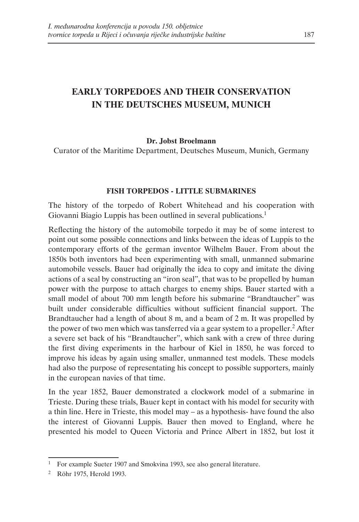# **EARLY TORPEDOES AND THEIR CONSERVATION IN THE DEUTSCHES MUSEUM, MUNICH**

### **Dr. Jobst Broelmann**

Curator of the Maritime Department, Deutsches Museum, Munich, Germany

#### **FISH TORPEDOS - LITTLE SUBMARINES**

The history of the torpedo of Robert Whitehead and his cooperation with Giovanni Biagio Luppis has been outlined in several publications.<sup>1</sup>

Reflecting the history of the automobile torpedo it may be of some interest to point out some possible connections and links between the ideas of Luppis to the contemporary efforts of the german inventor Wilhelm Bauer. From about the 1850s both inventors had been experimenting with small, unmanned submarine automobile vessels. Bauer had originally the idea to copy and imitate the diving actions of a seal by constructing an "iron seal", that was to be propelled by human power with the purpose to attach charges to enemy ships. Bauer started with a small model of about 700 mm length before his submarine "Brandtaucher" was built under considerable difficulties without sufficient financial support. The Brandtaucher had a length of about 8 m, and a beam of 2 m. It was propelled by the power of two men which was tansferred via a gear system to a propeller.<sup>2</sup> After a severe set back of his "Brandtaucher", which sank with a crew of three during the first diving experiments in the harbour of Kiel in 1850, he was forced to improve his ideas by again using smaller, unmanned test models. These models had also the purpose of representating his concept to possible supporters, mainly in the european navies of that time.

In the year 1852, Bauer demonstrated a clockwork model of a submarine in Trieste. During these trials, Bauer kept in contact with his model for security with a thin line. Here in Trieste, this model may – as a hypothesis- have found the also the interest of Giovanni Luppis. Bauer then moved to England, where he presented his model to Queen Victoria and Prince Albert in 1852, but lost it

<sup>1</sup> For example Sueter 1907 and Smokvina 1993, see also general literature.

<sup>2</sup> Röhr 1975, Herold 1993.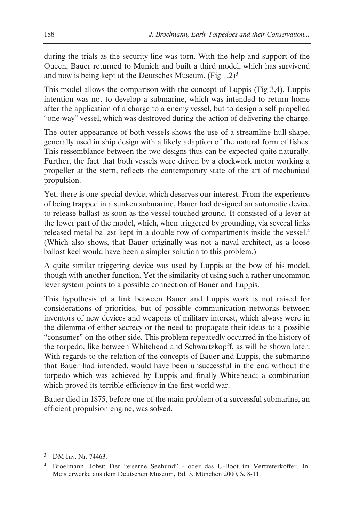during the trials as the security line was torn. With the help and support of the Queen, Bauer returned to Munich and built a third model, which has survivend and now is being kept at the Deutsches Museum. (Fig  $1.2$ )<sup>3</sup>

This model allows the comparison with the concept of Luppis (Fig 3,4). Luppis intention was not to develop a submarine, which was intended to return home after the application of a charge to a enemy vessel, but to design a self propelled "one-way" vessel, which was destroyed during the action of delivering the charge.

The outer appearance of both vessels shows the use of a streamline hull shape, generally used in ship design with a likely adaption of the natural form of fishes. This ressemblance between the two designs thus can be expected quite naturally. Further, the fact that both vessels were driven by a clockwork motor working a propeller at the stern, reflects the contemporary state of the art of mechanical propulsion.

Yet, there is one special device, which deserves our interest. From the experience of being trapped in a sunken submarine, Bauer had designed an automatic device to release ballast as soon as the vessel touched ground. It consisted of a lever at the lower part of the model, which, when triggered by grounding, via several links released metal ballast kept in a double row of compartments inside the vessel.<sup>4</sup> (Which also shows, that Bauer originally was not a naval architect, as a loose ballast keel would have been a simpler solution to this problem.)

A quite similar triggering device was used by Luppis at the bow of his model, though with another function. Yet the similarity of using such a rather uncommon lever system points to a possible connection of Bauer and Luppis.

This hypothesis of a link between Bauer and Luppis work is not raised for considerations of priorities, but of possible communication networks between inventors of new devices and weapons of military interest, which always were in the dilemma of either secrecy or the need to propagate their ideas to a possible "consumer" on the other side. This problem repeatedly occurred in the history of the torpedo, like between Whitehead and Schwartzkopff, as will be shown later. With regards to the relation of the concepts of Bauer and Luppis, the submarine that Bauer had intended, would have been unsuccessful in the end without the torpedo which was achieved by Luppis and finally Whitehead; a combination which proved its terrible efficiency in the first world war.

Bauer died in 1875, before one of the main problem of a successful submarine, an efficient propulsion engine, was solved.

DM Inv. Nr. 74463.

<sup>4</sup> Broelmann, Jobst: Der "eiserne Seehund" - oder das U-Boot im Vertreterkoffer. In: Meisterwerke aus dem Deutschen Museum, Bd. 3. München 2000, S. 8-11.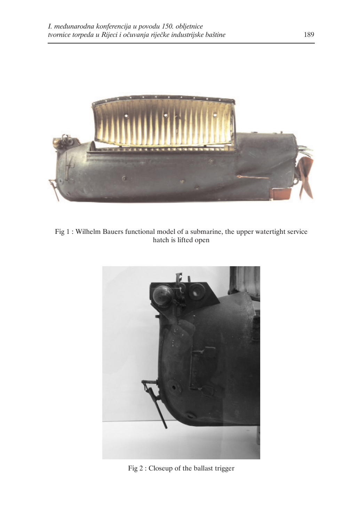

Fig 1 : Wilhelm Bauers functional model of a submarine, the upper watertight service hatch is lifted open



Fig 2 : Closeup of the ballast trigger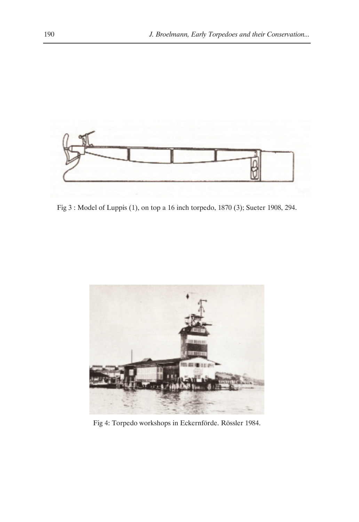

Fig 3 : Model of Luppis (1), on top a 16 inch torpedo, 1870 (3); Sueter 1908, 294.



Fig 4: Torpedo workshops in Eckernförde. Rössler 1984.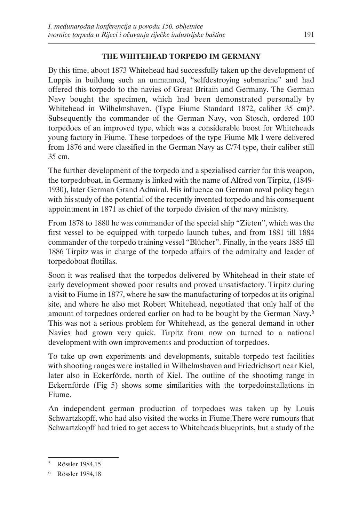# **THE WHITEHEAD TORPEDO IM GERMANY**

By this time, about 1873 Whitehead had successfully taken up the development of Luppis in buildung such an unmanned, "selfdestroying submarine" and had offered this torpedo to the navies of Great Britain and Germany. The German Navy bought the specimen, which had been demonstrated personally by Whitehead in Wilhelmshaven. (Type Fiume Standard 1872, caliber 35 cm)<sup>5</sup>. Subsequently the commander of the German Navy, von Stosch, ordered 100 torpedoes of an improved type, which was a considerable boost for Whiteheads young factory in Fiume. These torpedoes of the type Fiume Mk I were delivered from 1876 and were classified in the German Navy as C/74 type, their caliber still 35 cm.

The further development of the torpedo and a spezialised carrier for this weapon, the torpedoboat, in Germany is linked with the name of Alfred von Tirpitz, (1849- 1930), later German Grand Admiral. His influence on German naval policy began with his study of the potential of the recently invented torpedo and his consequent appointment in 1871 as chief of the torpedo division of the navy ministry.

From 1878 to 1880 he was commander of the special ship "Zieten", which was the first vessel to be equipped with torpedo launch tubes, and from 1881 till 1884 commander of the torpedo training vessel "Blücher". Finally, in the years 1885 till 1886 Tirpitz was in charge of the torpedo affairs of the admiralty and leader of torpedoboat flotillas.

Soon it was realised that the torpedos delivered by Whitehead in their state of early development showed poor results and proved unsatisfactory. Tirpitz during a visit to Fiume in 1877, where he saw the manufacturing of torpedos at its original site, and where he also met Robert Whitehead, negotiated that only half of the amount of torpedoes ordered earlier on had to be bought by the German Navy.6 This was not a serious problem for Whitehead, as the general demand in other Navies had grown very quick. Tirpitz from now on turned to a national development with own improvements and production of torpedoes.

To take up own experiments and developments, suitable torpedo test facilities with shooting ranges were installed in Wilhelmshaven and Friedrichsort near Kiel, later also in Eckerförde, north of Kiel. The outline of the shootimg range in Eckernförde (Fig 5) shows some similarities with the torpedoinstallations in Fiume.

An independent german production of torpedoes was taken up by Louis Schwartzkopff, who had also visited the works in Fiume.There were rumours that Schwartzkopff had tried to get access to Whiteheads blueprints, but a study of the

<sup>5</sup> Rössler 1984,15

<sup>6</sup> Rössler 1984,18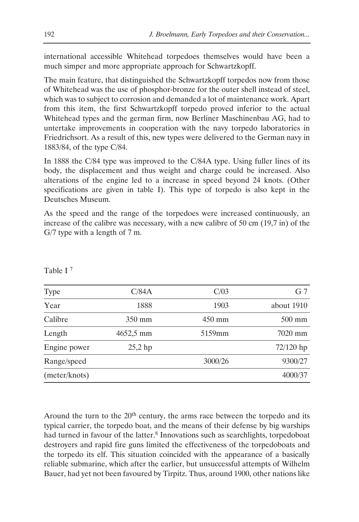international accessible Whitehead torpedoes themselves would have been a much simper and more appropriate approach for Schwartzkopff.

The main feature, that distinguished the Schwartzkopff torpedos now from those of Whitehead was the use of phosphor-bronze for the outer shell instead of steel, which was to subject to corrosion and demanded a lot of maintenance work. Apart from this item, the first Schwartzkopff torpedo proved inferior to the actual Whitehead types and the german firm, now Berliner Maschinenbau AG, had to untertake improvements in cooperation with the navy torpedo laboratories in Friedrichsort. As a result of this, new types were delivered to the German navy in 1883/84, of the type C/84.

In 1888 the C/84 type was improved to the C/84A type. Using fuller lines of its body, the displacement and thus weight and charge could be increased. Also alterations of the engine led to a increase in speed beyond 24 knots. (Other specifications are given in table I). This type of torpedo is also kept in the Deutsches Museum.

As the speed and the range of the torpedoes were increased continuously, an increase of the calibre was necessary, with a new calibre of 50 cm (19,7 in) of the G/7 type with a length of 7 m.

| Type          | C/84A            | C/03             | G <sub>7</sub>   |
|---------------|------------------|------------------|------------------|
| Year          | 1888             | 1903             | about 1910       |
| Calibre       | $350 \text{ mm}$ | $450 \text{ mm}$ | $500 \text{ mm}$ |
| Length        | $4652,5$ mm      | 5159mm           | 7020 mm          |
| Engine power  | $25,2$ hp        |                  | $72/120$ hp      |
| Range/speed   |                  | 3000/26          | 9300/27          |
| (meter/knots) |                  |                  | 4000/37          |

Table I 7

Around the turn to the 20<sup>th</sup> century, the arms race between the torpedo and its typical carrier, the torpedo boat, and the means of their defense by big warships had turned in favour of the latter.<sup>8</sup> Innovations such as searchlights, torpedoboat destroyers and rapid fire guns limited the effectiveness of the torpedoboats and the torpedo its elf. This situation coincided with the appearance of a basically reliable submarine, which after the earlier, but unsuccessful attempts of Wilhelm Bauer, had yet not been favoured by Tirpitz. Thus, around 1900, other nations like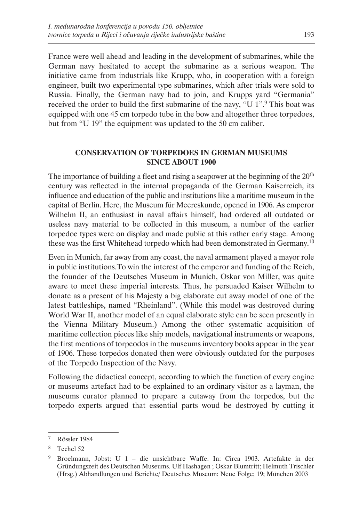France were well ahead and leading in the development of submarines, while the German navy hesitated to accept the submarine as a serious weapon. The initiative came from industrials like Krupp, who, in cooperation with a foreign engineer, built two experimental type submarines, which after trials were sold to Russia. Finally, the German navy had to join, and Krupps yard "Germania" received the order to build the first submarine of the navy, "U 1".<sup>9</sup> This boat was equipped with one 45 cm torpedo tube in the bow and altogether three torpedoes, but from "U 19" the equipment was updated to the 50 cm caliber.

## **CONSERVATION OF TORPEDOES IN GERMAN MUSEUMS SINCE ABOUT 1900**

The importance of building a fleet and rising a seapower at the beginning of the 20<sup>th</sup> century was reflected in the internal propaganda of the German Kaiserreich, its influence and education of the public and institutions like a maritime museum in the capital of Berlin. Here, the Museum für Meereskunde, opened in 1906. As emperor Wilhelm II, an enthusiast in naval affairs himself, had ordered all outdated or useless navy material to be collected in this museum, a number of the earlier torpedoe types were on display and made public at this rather early stage. Among these was the first Whitehead torpedo which had been demonstrated in Germany.10

Even in Munich, far away from any coast, the naval armament played a mayor role in public institutions.To win the interest of the emperor and funding of the Reich, the founder of the Deutsches Museum in Munich, Oskar von Miller, was quite aware to meet these imperial interests. Thus, he persuaded Kaiser Wilhelm to donate as a present of his Majesty a big elaborate cut away model of one of the latest battleships, named "Rheinland". (While this model was destroyed during World War II, another model of an equal elaborate style can be seen presently in the Vienna Military Museum.) Among the other systematic acquisition of maritime collection pieces like ship models, navigational instruments or weapons, the first mentions of torpeodos in the museums inventory books appear in the year of 1906. These torpedos donated then were obviously outdated for the purposes of the Torpedo Inspection of the Navy.

Following the didactical concept, according to which the function of every engine or museums artefact had to be explained to an ordinary visitor as a layman, the museums curator planned to prepare a cutaway from the torpedos, but the torpedo experts argued that essential parts woud be destroyed by cutting it

<sup>7</sup> Rössler 1984

<sup>8</sup> Techel 52

<sup>9</sup> Broelmann, Jobst: U 1 – die unsichtbare Waffe. In: Circa 1903. Artefakte in der Gründungszeit des Deutschen Museums. Ulf Hashagen ; Oskar Blumtritt; Helmuth Trischler (Hrsg.) Abhandlungen und Berichte/ Deutsches Museum: Neue Folge; 19; München 2003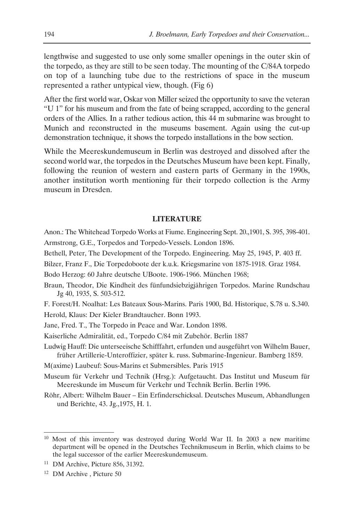lengthwise and suggested to use only some smaller openings in the outer skin of the torpedo, as they are still to be seen today. The mounting of the C/84A torpedo on top of a launching tube due to the restrictions of space in the museum represented a rather untypical view, though. (Fig 6)

After the first world war, Oskar von Miller seized the opportunity to save the veteran "U 1" for his museum and from the fate of being scrapped, according to the general orders of the Allies. In a rather tedious action, this 44 m submarine was brought to Munich and reconstructed in the museums basement. Again using the cut-up demonstration technique, it shows the torpedo installations in the bow section.

While the Meereskundemuseum in Berlin was destroyed and dissolved after the second world war, the torpedos in the Deutsches Museum have been kept. Finally, following the reunion of western and eastern parts of Germany in the 1990s, another institution worth mentioning für their torpedo collection is the Army museum in Dresden.

#### **LITERATURE**

- Anon.: The Whitehead Torpedo Works at Fiume. Engineering Sept. 20.,1901, S. 395, 398-401. Armstrong, G.E., Torpedos and Torpedo-Vessels. London 1896.
- Bethell, Peter, The Development of the Torpedo. Engineering. May 25, 1945, P. 403 ff.
- Bilzer, Franz F., Die Torpedoboote der k.u.k. Kriegsmarine von 1875-1918. Graz 1984.

Bodo Herzog: 60 Jahre deutsche UBoote. 1906-1966. München 1968;

- Braun, Theodor, Die Kindheit des fünfundsiebzigjährigen Torpedos. Marine Rundschau Jg 40, 1935, S. 503-512.
- F. Forest/H. Noalhat: Les Bateaux Sous-Marins. Paris 1900, Bd. Historique, S.78 u. S.340.

Herold, Klaus: Der Kieler Brandtaucher. Bonn 1993.

- Jane, Fred. T., The Torpedo in Peace and War. London 1898.
- Kaiserliche Admiralität, ed., Torpedo C/84 mit Zubehör. Berlin 1887
- Ludwig Hauff: Die unterseeische Schifffahrt, erfunden und ausgeführt von Wilhelm Bauer, früher Artillerie-Unteroffizier, später k. russ. Submarine-Ingenieur. Bamberg 1859.

M(axime) Laubeuf: Sous-Marins et Submersibles. Paris 1915

- Museum für Verkehr und Technik (Hrsg.): Aufgetaucht. Das Institut und Museum für Meereskunde im Museum für Verkehr und Technik Berlin. Berlin 1996.
- Röhr, Albert: Wilhelm Bauer Ein Erfinderschicksal. Deutsches Museum, Abhandlungen und Berichte, 43. Jg.,1975, H. 1.

<sup>10</sup> Most of this inventory was destroyed during World War II. In 2003 a new maritime department will be opened in the Deutsches Technikmuseum in Berlin, which claims to be the legal successor of the earlier Meereskundemuseum.

<sup>11</sup> DM Archive, Picture 856, 31392.

<sup>&</sup>lt;sup>12</sup> DM Archive, Picture 50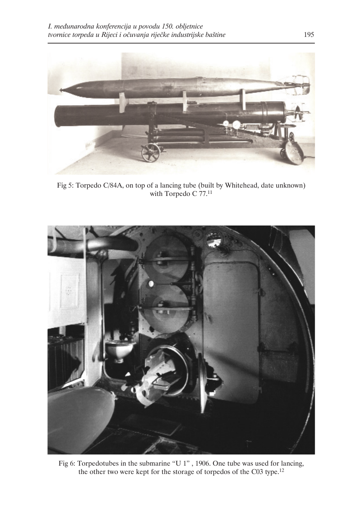

Fig 5: Torpedo C/84A, on top of a lancing tube (built by Whitehead, date unknown) with Torpedo C 77.<sup>11</sup>



Fig 6: Torpedotubes in the submarine "U 1" , 1906. One tube was used for lancing, the other two were kept for the storage of torpedos of the C03 type.12